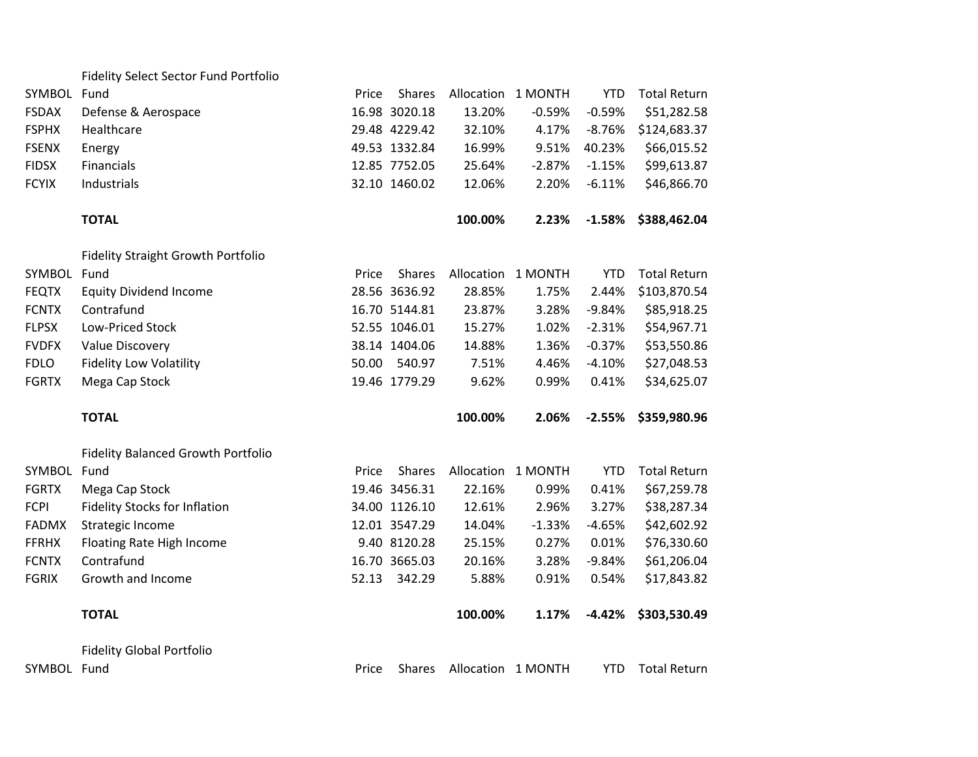| SYMBOL       | Fund                                      | Price | <b>Shares</b> | Allocation 1 MONTH |                    | <b>YTD</b> | <b>Total Return</b> |
|--------------|-------------------------------------------|-------|---------------|--------------------|--------------------|------------|---------------------|
| <b>FSDAX</b> | Defense & Aerospace                       |       | 16.98 3020.18 | 13.20%             | $-0.59%$           | $-0.59%$   | \$51,282.58         |
| <b>FSPHX</b> | Healthcare                                |       | 29.48 4229.42 | 32.10%             | 4.17%              | $-8.76%$   | \$124,683.37        |
| <b>FSENX</b> | Energy                                    |       | 49.53 1332.84 | 16.99%             | 9.51%              | 40.23%     | \$66,015.52         |
| <b>FIDSX</b> | Financials                                |       | 12.85 7752.05 | 25.64%             | $-2.87%$           | $-1.15%$   | \$99,613.87         |
| <b>FCYIX</b> | Industrials                               |       | 32.10 1460.02 | 12.06%             | 2.20%              | $-6.11%$   | \$46,866.70         |
|              | <b>TOTAL</b>                              |       |               | 100.00%            | 2.23%              | $-1.58%$   | \$388,462.04        |
|              | <b>Fidelity Straight Growth Portfolio</b> |       |               |                    |                    |            |                     |
| SYMBOL Fund  |                                           | Price | <b>Shares</b> |                    | Allocation 1 MONTH | <b>YTD</b> | <b>Total Return</b> |
| <b>FEQTX</b> | <b>Equity Dividend Income</b>             |       | 28.56 3636.92 | 28.85%             | 1.75%              | 2.44%      | \$103,870.54        |
| <b>FCNTX</b> | Contrafund                                |       | 16.70 5144.81 | 23.87%             | 3.28%              | $-9.84%$   | \$85,918.25         |
| <b>FLPSX</b> | Low-Priced Stock                          |       | 52.55 1046.01 | 15.27%             | 1.02%              | $-2.31%$   | \$54,967.71         |
| <b>FVDFX</b> | Value Discovery                           |       | 38.14 1404.06 | 14.88%             | 1.36%              | $-0.37%$   | \$53,550.86         |
| <b>FDLO</b>  | <b>Fidelity Low Volatility</b>            | 50.00 | 540.97        | 7.51%              | 4.46%              | $-4.10%$   | \$27,048.53         |
| <b>FGRTX</b> | Mega Cap Stock                            |       | 19.46 1779.29 | 9.62%              | 0.99%              | 0.41%      | \$34,625.07         |
|              |                                           |       |               |                    |                    |            |                     |
|              | <b>TOTAL</b>                              |       |               | 100.00%            | 2.06%              | $-2.55%$   | \$359,980.96        |
|              | <b>Fidelity Balanced Growth Portfolio</b> |       |               |                    |                    |            |                     |
| SYMBOL Fund  |                                           | Price | <b>Shares</b> | Allocation 1 MONTH |                    | <b>YTD</b> | <b>Total Return</b> |
| <b>FGRTX</b> | Mega Cap Stock                            |       | 19.46 3456.31 | 22.16%             | 0.99%              | 0.41%      | \$67,259.78         |
| <b>FCPI</b>  | Fidelity Stocks for Inflation             |       | 34.00 1126.10 | 12.61%             | 2.96%              | 3.27%      | \$38,287.34         |
| <b>FADMX</b> | Strategic Income                          |       | 12.01 3547.29 | 14.04%             | $-1.33%$           | $-4.65%$   | \$42,602.92         |
| <b>FFRHX</b> | Floating Rate High Income                 |       | 9.40 8120.28  | 25.15%             | 0.27%              | 0.01%      | \$76,330.60         |
| <b>FCNTX</b> | Contrafund                                |       | 16.70 3665.03 | 20.16%             | 3.28%              | $-9.84%$   | \$61,206.04         |
| <b>FGRIX</b> | Growth and Income                         | 52.13 | 342.29        | 5.88%              | 0.91%              | 0.54%      | \$17,843.82         |
|              | <b>TOTAL</b>                              |       |               | 100.00%            | 1.17%              | $-4.42%$   | \$303,530.49        |
|              | <b>Fidelity Global Portfolio</b>          |       |               |                    |                    |            |                     |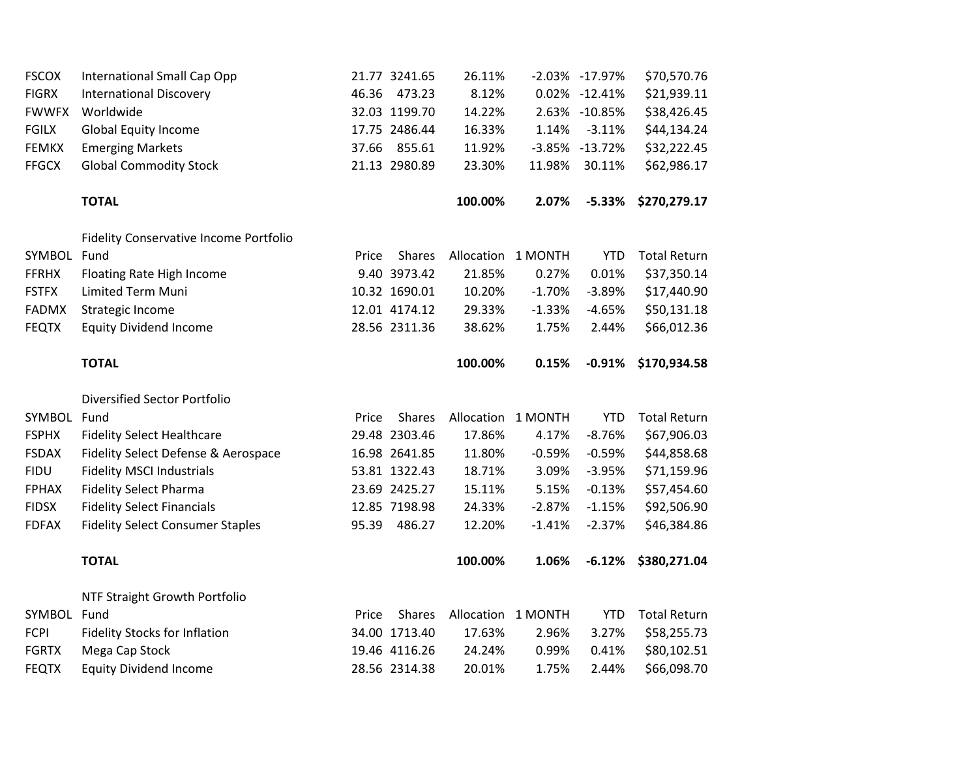| <b>FSCOX</b> | International Small Cap Opp                   | 21.77 3241.65          | 26.11%             |          | -2.03% -17.97% | \$70,570.76         |
|--------------|-----------------------------------------------|------------------------|--------------------|----------|----------------|---------------------|
| <b>FIGRX</b> | <b>International Discovery</b>                | 46.36<br>473.23        | 8.12%              |          | 0.02% -12.41%  | \$21,939.11         |
| <b>FWWFX</b> | Worldwide                                     | 32.03 1199.70          | 14.22%             |          | 2.63% -10.85%  | \$38,426.45         |
| <b>FGILX</b> | <b>Global Equity Income</b>                   | 17.75 2486.44          | 16.33%             | 1.14%    | $-3.11%$       | \$44,134.24         |
| <b>FEMKX</b> | <b>Emerging Markets</b>                       | 37.66 855.61           | 11.92%             |          | -3.85% -13.72% | \$32,222.45         |
| <b>FFGCX</b> | <b>Global Commodity Stock</b>                 | 21.13 2980.89          | 23.30%             | 11.98%   | 30.11%         | \$62,986.17         |
|              | <b>TOTAL</b>                                  |                        | 100.00%            | 2.07%    | $-5.33%$       | \$270,279.17        |
|              | <b>Fidelity Conservative Income Portfolio</b> |                        |                    |          |                |                     |
| SYMBOL Fund  |                                               | Shares<br>Price        | Allocation 1 MONTH |          | <b>YTD</b>     | <b>Total Return</b> |
| <b>FFRHX</b> | Floating Rate High Income                     | 9.40 3973.42           | 21.85%             | 0.27%    | 0.01%          | \$37,350.14         |
| <b>FSTFX</b> | Limited Term Muni                             | 10.32 1690.01          | 10.20%             | $-1.70%$ | $-3.89%$       | \$17,440.90         |
| <b>FADMX</b> | Strategic Income                              | 12.01 4174.12          | 29.33%             | $-1.33%$ | $-4.65%$       | \$50,131.18         |
| <b>FEQTX</b> | <b>Equity Dividend Income</b>                 | 28.56 2311.36          | 38.62%             | 1.75%    | 2.44%          | \$66,012.36         |
|              | <b>TOTAL</b>                                  |                        | 100.00%            | 0.15%    | $-0.91%$       | \$170,934.58        |
|              | <b>Diversified Sector Portfolio</b>           |                        |                    |          |                |                     |
| SYMBOL Fund  |                                               | <b>Shares</b><br>Price | Allocation 1 MONTH |          | <b>YTD</b>     | <b>Total Return</b> |
| <b>FSPHX</b> | <b>Fidelity Select Healthcare</b>             | 29.48 2303.46          | 17.86%             | 4.17%    | $-8.76%$       | \$67,906.03         |
| <b>FSDAX</b> | Fidelity Select Defense & Aerospace           | 16.98 2641.85          | 11.80%             | $-0.59%$ | $-0.59%$       | \$44,858.68         |
| <b>FIDU</b>  | <b>Fidelity MSCI Industrials</b>              | 53.81 1322.43          | 18.71%             | 3.09%    | $-3.95%$       | \$71,159.96         |
| <b>FPHAX</b> | <b>Fidelity Select Pharma</b>                 | 23.69 2425.27          | 15.11%             | 5.15%    | $-0.13%$       | \$57,454.60         |
| <b>FIDSX</b> | <b>Fidelity Select Financials</b>             | 12.85 7198.98          | 24.33%             | $-2.87%$ | $-1.15%$       | \$92,506.90         |
| <b>FDFAX</b> | <b>Fidelity Select Consumer Staples</b>       | 95.39<br>486.27        | 12.20%             | $-1.41%$ | $-2.37%$       | \$46,384.86         |
|              | <b>TOTAL</b>                                  |                        | 100.00%            | 1.06%    | $-6.12%$       | \$380,271.04        |
|              | NTF Straight Growth Portfolio                 |                        |                    |          |                |                     |
| SYMBOL Fund  |                                               | Price<br><b>Shares</b> | Allocation 1 MONTH |          | <b>YTD</b>     | <b>Total Return</b> |
| <b>FCPI</b>  | Fidelity Stocks for Inflation                 | 34.00 1713.40          | 17.63%             | 2.96%    | 3.27%          | \$58,255.73         |
| <b>FGRTX</b> | Mega Cap Stock                                | 19.46 4116.26          | 24.24%             | 0.99%    | 0.41%          | \$80,102.51         |
|              |                                               |                        |                    |          |                |                     |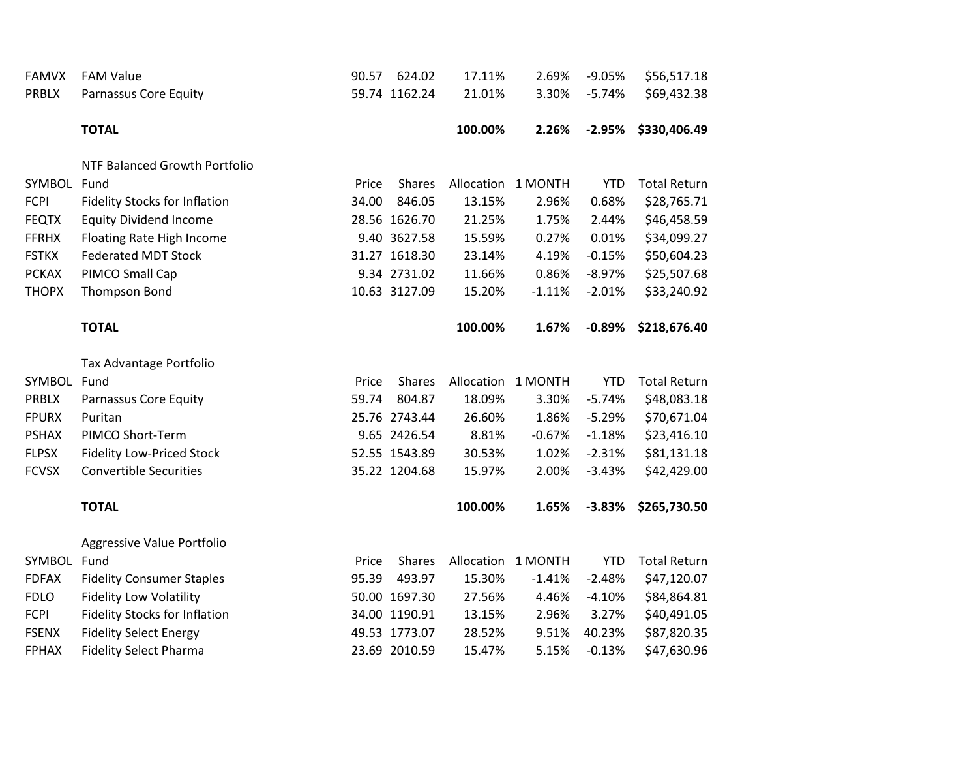| <b>FAMVX</b> | <b>FAM Value</b>                     | 90.57 | 624.02        | 17.11%     | 2.69%              | $-9.05%$   | \$56,517.18         |
|--------------|--------------------------------------|-------|---------------|------------|--------------------|------------|---------------------|
| <b>PRBLX</b> | Parnassus Core Equity                |       | 59.74 1162.24 | 21.01%     | 3.30%              | $-5.74%$   | \$69,432.38         |
|              | <b>TOTAL</b>                         |       |               | 100.00%    | 2.26%              | $-2.95%$   | \$330,406.49        |
|              | NTF Balanced Growth Portfolio        |       |               |            |                    |            |                     |
| SYMBOL Fund  |                                      | Price | <b>Shares</b> |            | Allocation 1 MONTH | <b>YTD</b> | <b>Total Return</b> |
| <b>FCPI</b>  | Fidelity Stocks for Inflation        | 34.00 | 846.05        | 13.15%     | 2.96%              | 0.68%      | \$28,765.71         |
| <b>FEQTX</b> | <b>Equity Dividend Income</b>        |       | 28.56 1626.70 | 21.25%     | 1.75%              | 2.44%      | \$46,458.59         |
| <b>FFRHX</b> | Floating Rate High Income            |       | 9.40 3627.58  | 15.59%     | 0.27%              | 0.01%      | \$34,099.27         |
| <b>FSTKX</b> | <b>Federated MDT Stock</b>           |       | 31.27 1618.30 | 23.14%     | 4.19%              | $-0.15%$   | \$50,604.23         |
| <b>PCKAX</b> | PIMCO Small Cap                      |       | 9.34 2731.02  | 11.66%     | 0.86%              | $-8.97%$   | \$25,507.68         |
| <b>THOPX</b> | Thompson Bond                        |       | 10.63 3127.09 | 15.20%     | $-1.11%$           | $-2.01%$   | \$33,240.92         |
|              | <b>TOTAL</b>                         |       |               | 100.00%    | 1.67%              | $-0.89%$   | \$218,676.40        |
|              | Tax Advantage Portfolio              |       |               |            |                    |            |                     |
| SYMBOL Fund  |                                      | Price | <b>Shares</b> |            | Allocation 1 MONTH | <b>YTD</b> | <b>Total Return</b> |
| PRBLX        | Parnassus Core Equity                | 59.74 | 804.87        | 18.09%     | 3.30%              | $-5.74%$   | \$48,083.18         |
| <b>FPURX</b> | Puritan                              |       | 25.76 2743.44 | 26.60%     | 1.86%              | $-5.29%$   | \$70,671.04         |
| <b>PSHAX</b> | PIMCO Short-Term                     |       | 9.65 2426.54  | 8.81%      | $-0.67%$           | $-1.18%$   | \$23,416.10         |
| <b>FLPSX</b> | <b>Fidelity Low-Priced Stock</b>     |       | 52.55 1543.89 | 30.53%     | 1.02%              | $-2.31%$   | \$81,131.18         |
| <b>FCVSX</b> | <b>Convertible Securities</b>        |       | 35.22 1204.68 | 15.97%     | 2.00%              | $-3.43%$   | \$42,429.00         |
|              | <b>TOTAL</b>                         |       |               | 100.00%    | 1.65%              | $-3.83%$   | \$265,730.50        |
|              | Aggressive Value Portfolio           |       |               |            |                    |            |                     |
| SYMBOL       | Fund                                 | Price | <b>Shares</b> | Allocation | 1 MONTH            | <b>YTD</b> | <b>Total Return</b> |
| <b>FDFAX</b> | <b>Fidelity Consumer Staples</b>     | 95.39 | 493.97        | 15.30%     | $-1.41%$           | $-2.48%$   | \$47,120.07         |
| <b>FDLO</b>  | <b>Fidelity Low Volatility</b>       |       | 50.00 1697.30 | 27.56%     | 4.46%              | $-4.10%$   | \$84,864.81         |
| <b>FCPI</b>  | <b>Fidelity Stocks for Inflation</b> |       | 34.00 1190.91 | 13.15%     | 2.96%              | 3.27%      | \$40,491.05         |
| <b>FSENX</b> | <b>Fidelity Select Energy</b>        |       | 49.53 1773.07 | 28.52%     | 9.51%              | 40.23%     | \$87,820.35         |
| <b>FPHAX</b> | <b>Fidelity Select Pharma</b>        |       | 23.69 2010.59 | 15.47%     | 5.15%              | $-0.13%$   | \$47,630.96         |